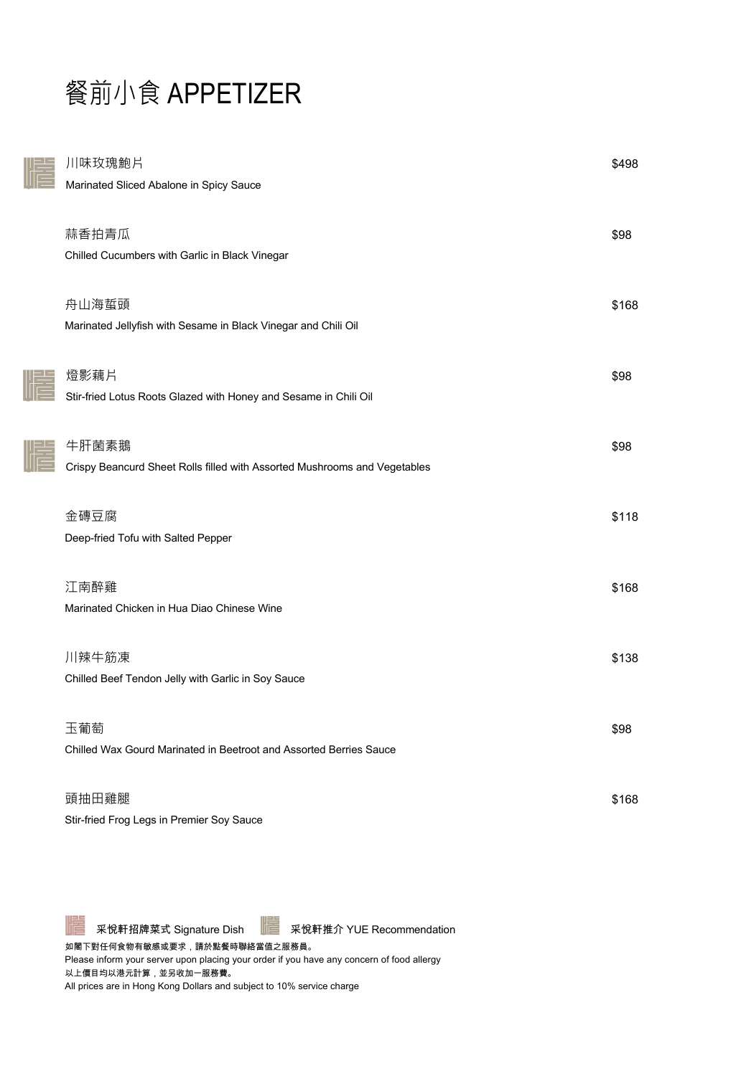# 餐前小食 APPETIZER

| 川味玫瑰鮑片                                                                    | \$498 |
|---------------------------------------------------------------------------|-------|
| Marinated Sliced Abalone in Spicy Sauce                                   |       |
| 蒜香拍青瓜                                                                     | \$98  |
| Chilled Cucumbers with Garlic in Black Vinegar                            |       |
| 舟山海蜇頭                                                                     | \$168 |
| Marinated Jellyfish with Sesame in Black Vinegar and Chili Oil            |       |
| 燈影藕片                                                                      | \$98  |
| Stir-fried Lotus Roots Glazed with Honey and Sesame in Chili Oil          |       |
| 牛肝菌素鵝                                                                     | \$98  |
| Crispy Beancurd Sheet Rolls filled with Assorted Mushrooms and Vegetables |       |
| 金磚豆腐                                                                      | \$118 |
| Deep-fried Tofu with Salted Pepper                                        |       |
| 江南醉雞                                                                      | \$168 |
| Marinated Chicken in Hua Diao Chinese Wine                                |       |
| 川辣牛筋凍                                                                     | \$138 |
| Chilled Beef Tendon Jelly with Garlic in Soy Sauce                        |       |
| 玉葡萄                                                                       | \$98  |
| Chilled Wax Gourd Marinated in Beetroot and Assorted Berries Sauce        |       |
| 頭抽田雞腿                                                                     | \$168 |
| Stir-fried Frog Legs in Premier Soy Sauce                                 |       |



如閣下對任何食物有敏感或要求,請於點餐時聯絡當值之服務員。 Please inform your server upon placing your order if you have any concern of food allergy 以上價目均以港元計算,並另收加一服務費。 All prices are in Hong Kong Dollars and subject to 10% service charge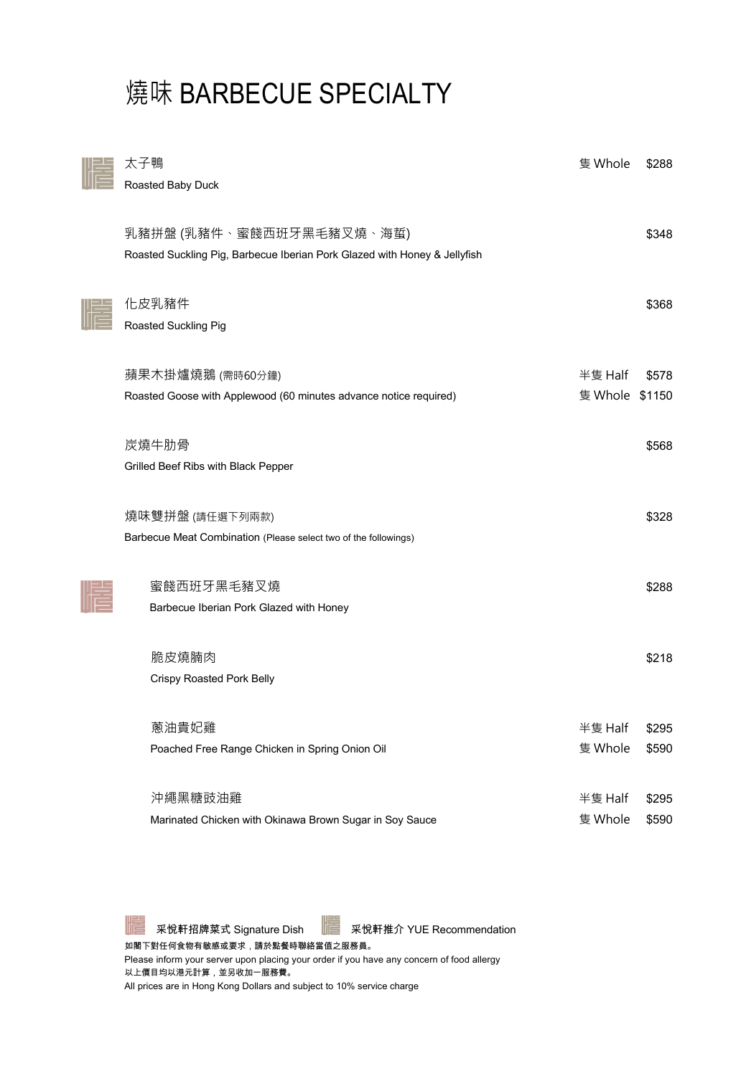# 燒味 BARBECUE SPECIALTY

| 太子鴨<br>Roasted Baby Duck                                                                              | 隻 Whole                   | \$288          |
|-------------------------------------------------------------------------------------------------------|---------------------------|----------------|
| 乳豬拼盤 (乳豬件、蜜餞西班牙黑毛豬叉燒、海蜇)<br>Roasted Suckling Pig, Barbecue Iberian Pork Glazed with Honey & Jellyfish |                           | \$348          |
| 化皮乳豬件<br>Roasted Suckling Pig                                                                         |                           | \$368          |
| 蘋果木掛爐燒鵝 (需時60分鐘)<br>Roasted Goose with Applewood (60 minutes advance notice required)                 | 半隻 Half<br>隻 Whole \$1150 | \$578          |
| 炭燒牛肋骨<br>Grilled Beef Ribs with Black Pepper                                                          |                           | \$568          |
| 燒味雙拼盤 (請任選下列兩款)<br>Barbecue Meat Combination (Please select two of the followings)                    |                           | \$328          |
| 蜜餞西班牙黑毛豬叉燒<br>Barbecue Iberian Pork Glazed with Honey                                                 |                           | \$288          |
| 脆皮燒腩肉<br><b>Crispy Roasted Pork Belly</b>                                                             |                           | \$218          |
| 蔥油貴妃雞<br>Poached Free Range Chicken in Spring Onion Oil                                               | 半隻 Half<br>隻 Whole        | \$295<br>\$590 |
| 沖繩黑糖豉油雞<br>Marinated Chicken with Okinawa Brown Sugar in Soy Sauce                                    | 半隻 Half<br>隻 Whole        | \$295<br>\$590 |

采悅軒招牌菜式 Signature Dish | 至 采悅軒推介 YUE Recommendation

如閣下對任何食物有敏感或要求,請於點餐時聯絡當值之服務員。 Please inform your server upon placing your order if you have any concern of food allergy 以上價目均以港元計算,並另收加一服務費。 All prices are in Hong Kong Dollars and subject to 10% service charge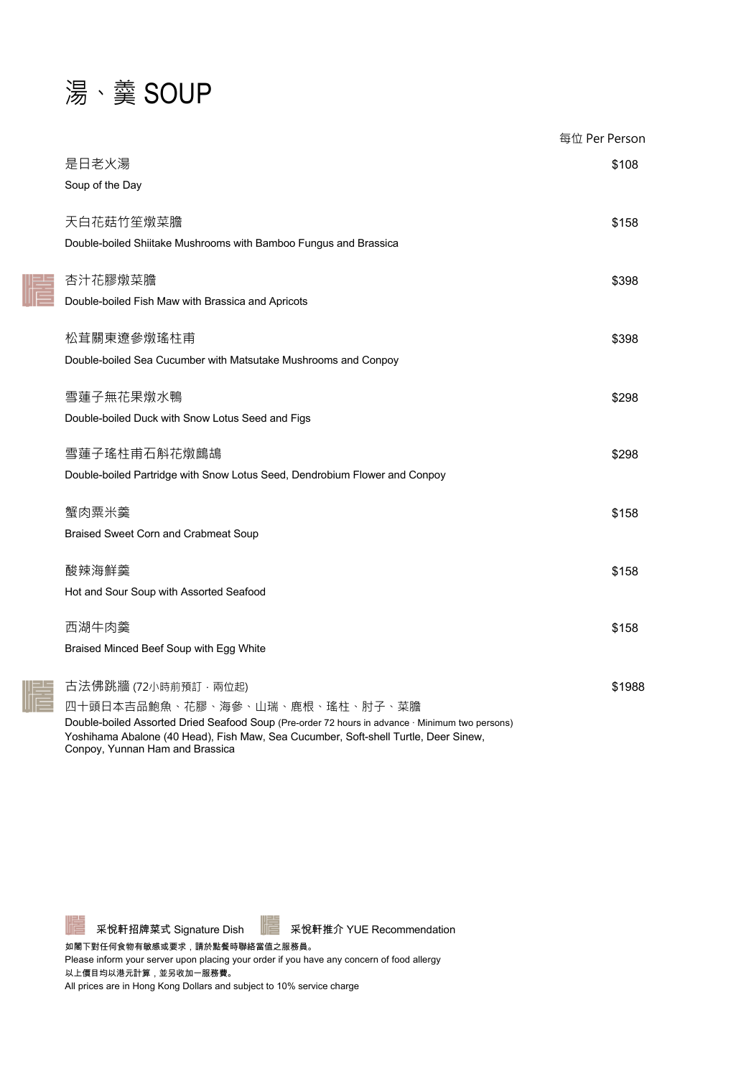### 湯、羹 SOUP

書

|                                                                                                 | 每位 Per Person |
|-------------------------------------------------------------------------------------------------|---------------|
| 是日老火湯                                                                                           | \$108         |
| Soup of the Day                                                                                 |               |
| 天白花菇竹笙燉菜膽                                                                                       | \$158         |
| Double-boiled Shiitake Mushrooms with Bamboo Fungus and Brassica                                |               |
|                                                                                                 |               |
| 杏汁花膠燉菜膽                                                                                         | \$398         |
| Double-boiled Fish Maw with Brassica and Apricots                                               |               |
| 松茸關東遼參燉瑤柱甫                                                                                      | \$398         |
| Double-boiled Sea Cucumber with Matsutake Mushrooms and Conpoy                                  |               |
|                                                                                                 |               |
| 雪蓮子無花果燉水鴨<br>Double-boiled Duck with Snow Lotus Seed and Figs                                   | \$298         |
|                                                                                                 |               |
| 雪蓮子瑤柱甫石斛花燉鷓鴣                                                                                    | \$298         |
| Double-boiled Partridge with Snow Lotus Seed, Dendrobium Flower and Conpoy                      |               |
| 蟹肉粟米羹                                                                                           | \$158         |
| <b>Braised Sweet Corn and Crabmeat Soup</b>                                                     |               |
|                                                                                                 |               |
| 酸辣海鮮羹                                                                                           | \$158         |
| Hot and Sour Soup with Assorted Seafood                                                         |               |
| 西湖牛肉羹                                                                                           | \$158         |
| Braised Minced Beef Soup with Egg White                                                         |               |
|                                                                                                 |               |
| 古法佛跳牆 (72小時前預訂 ・ 兩位起)<br>四十頭日本吉品鮑魚、花膠、海參、山瑞、鹿根、瑤柱、肘子、菜膽                                         | \$1988        |
| Double-boiled Assorted Dried Seafood Soup (Pre-order 72 hours in advance · Minimum two persons) |               |
| Yoshihama Abalone (40 Head), Fish Maw, Sea Cucumber, Soft-shell Turtle, Deer Sinew,             |               |

Conpoy, Yunnan Ham and Brassica



 $\frac{-1}{\Box}$ 

采悅軒招牌菜式 Signature Dish | 采悅軒推介 YUE Recommendation

如閣下對任何食物有敏感或要求,請於點餐時聯絡當值之服務員。

Please inform your server upon placing your order if you have any concern of food allergy 以上價目均以港元計算,並另收加一服務費。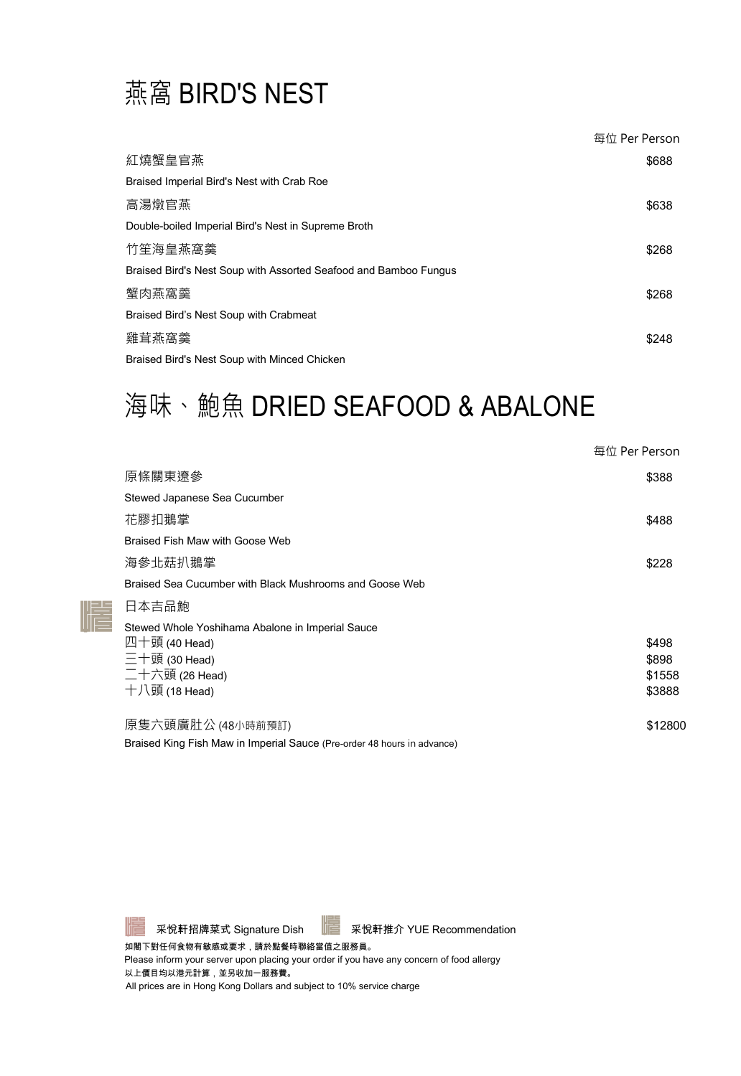### 燕窩 BIRD'S NEST

|                                                                  | 每位 Per Person |
|------------------------------------------------------------------|---------------|
| 紅燒蟹皇官燕                                                           | \$688         |
| Braised Imperial Bird's Nest with Crab Roe                       |               |
| 高湯燉官燕                                                            | \$638         |
| Double-boiled Imperial Bird's Nest in Supreme Broth              |               |
| 竹笙海皇燕窩羹                                                          | \$268         |
| Braised Bird's Nest Soup with Assorted Seafood and Bamboo Fungus |               |
| 蟹肉燕窩羹                                                            | \$268         |
| Braised Bird's Nest Soup with Crabmeat                           |               |
| 雞茸燕窩羹                                                            | \$248         |
| Braised Bird's Nest Soup with Minced Chicken                     |               |

### 海味、鮑魚 DRIED SEAFOOD & ABALONE

|                                                                         | 每位 Per Person |
|-------------------------------------------------------------------------|---------------|
| 原條關東遼參                                                                  | \$388         |
| Stewed Japanese Sea Cucumber                                            |               |
| 花膠扣鵝掌                                                                   | \$488         |
| Braised Fish Maw with Goose Web                                         |               |
| 海參北菇扒鵝掌                                                                 | \$228         |
| Braised Sea Cucumber with Black Mushrooms and Goose Web                 |               |
| 日本吉品鮑                                                                   |               |
| Stewed Whole Yoshihama Abalone in Imperial Sauce                        |               |
| 四十頭 (40 Head)                                                           | \$498         |
| $\Xi$ 十頭 (30 Head)                                                      | \$898         |
| 二十六頭 (26 Head)                                                          | \$1558        |
| 十八頭 (18 Head)                                                           | \$3888        |
| 原隻六頭廣肚公 (48小時前預訂)                                                       | \$12800       |
| Braised King Fish Maw in Imperial Sauce (Pre-order 48 hours in advance) |               |



 $\parallel \parallel \equiv$ 

采悅軒招牌菜式 Signature Dish | 采悅軒推介 YUE Recommendation

如閣下對任何食物有敏感或要求,請於點餐時聯絡當值之服務員。

Please inform your server upon placing your order if you have any concern of food allergy 以上價目均以港元計算,並另收加一服務費。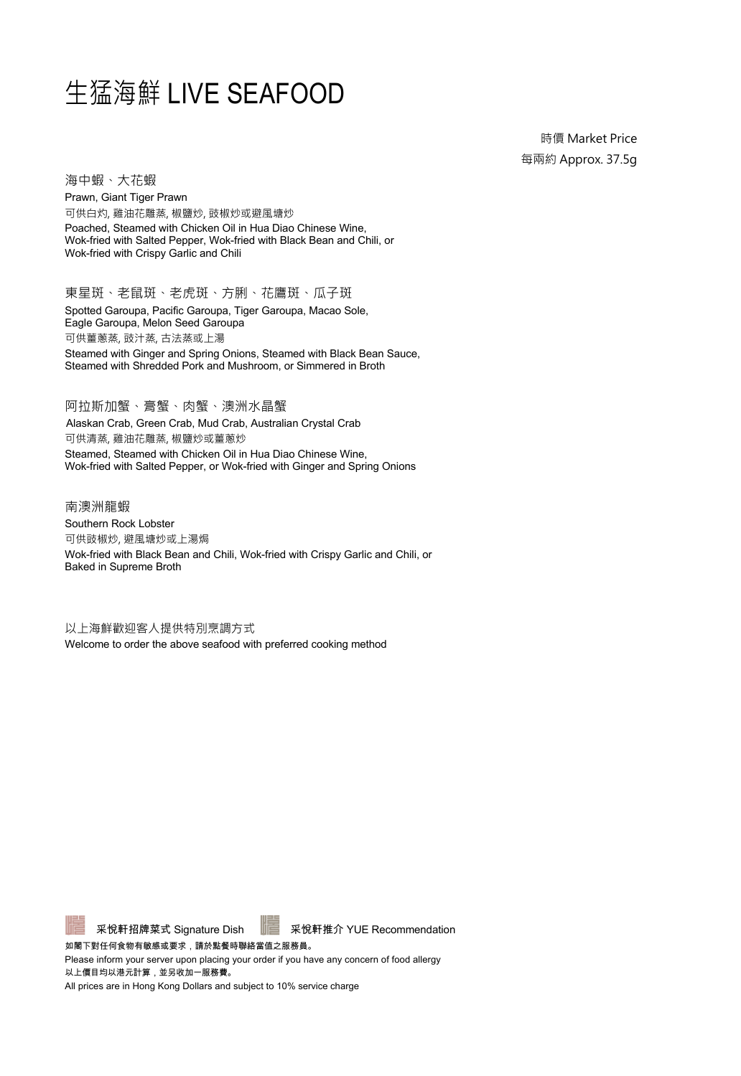#### 生猛海鮮 LIVE SEAFOOD

時價 Market Price 每兩約 Approx. 37.5g

海中蝦、大花蝦 Prawn, Giant Tiger Prawn

可供白灼, 雞油花雕蒸, 椒鹽炒, 豉椒炒或避風塘炒 Poached, Steamed with Chicken Oil in Hua Diao Chinese Wine, Wok-fried with Salted Pepper, Wok-fried with Black Bean and Chili, or Wok-fried with Crispy Garlic and Chili

東星斑、老鼠斑、老虎斑、方脷、花鷹斑、瓜子斑 Spotted Garoupa, Pacific Garoupa, Tiger Garoupa, Macao Sole, Eagle Garoupa, Melon Seed Garoupa 可供薑蔥蒸, 豉汁蒸, 古法蒸或上湯 Steamed with Ginger and Spring Onions, Steamed with Black Bean Sauce, Steamed with Shredded Pork and Mushroom, or Simmered in Broth

阿拉斯加蟹、膏蟹、肉蟹、澳洲水晶蟹 Alaskan Crab, Green Crab, Mud Crab, Australian Crystal Crab 可供清蒸, 雞油花雕蒸, 椒鹽炒或薑蔥炒 Steamed, Steamed with Chicken Oil in Hua Diao Chinese Wine, Wok-fried with Salted Pepper, or Wok-fried with Ginger and Spring Onions

南澳洲龍蝦 Southern Rock Lobster 可供豉椒炒, 避風塘炒或上湯焗 Wok-fried with Black Bean and Chili, Wok-fried with Crispy Garlic and Chili, or Baked in Supreme Broth

以上海鮮歡迎客人提供特別烹調方式 Welcome to order the above seafood with preferred cooking method



采悅軒招牌菜式 Signature Dish | 采悅軒推介 YUE Recommendation

如閣下對任何食物有敏感或要求,請於點餐時聯絡當值之服務員。

Please inform your server upon placing your order if you have any concern of food allergy 以上價目均以港元計算,並另收加一服務費。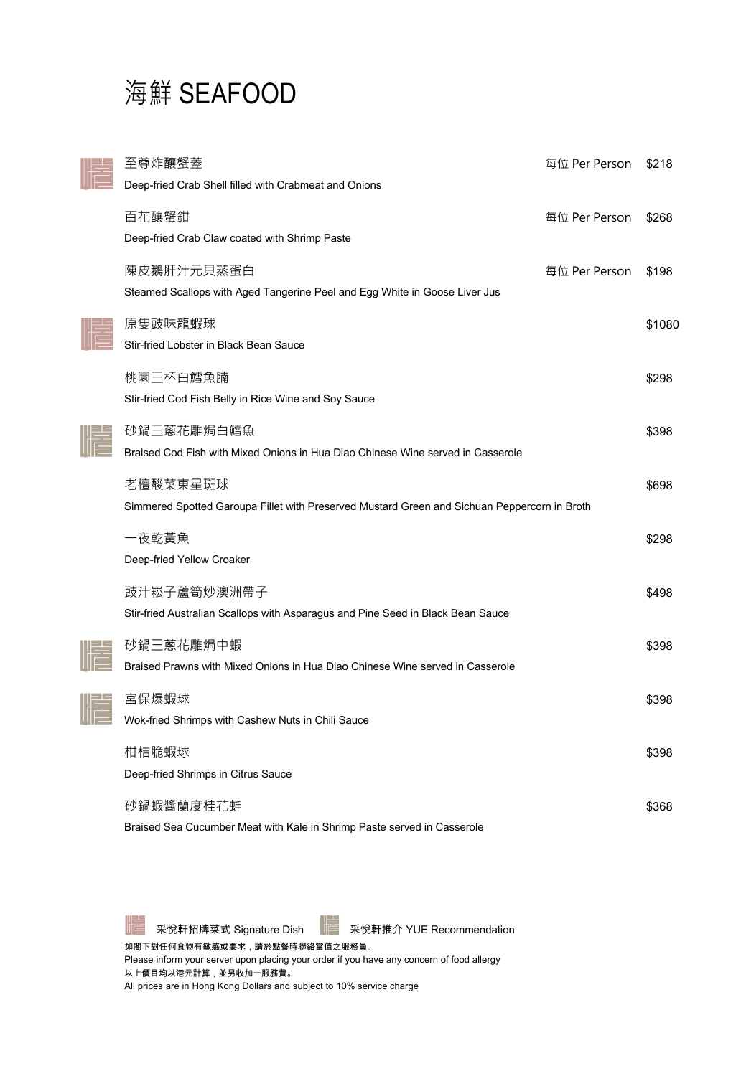### 海鮮 SEAFOOD

| 至尊炸釀蟹蓋                                                                                                   | 每位 Per Person | \$218  |
|----------------------------------------------------------------------------------------------------------|---------------|--------|
| Deep-fried Crab Shell filled with Crabmeat and Onions                                                    |               |        |
| 百花釀蟹鉗<br>Deep-fried Crab Claw coated with Shrimp Paste                                                   | 每位 Per Person | \$268  |
| 陳皮鵝肝汁元貝蒸蛋白<br>Steamed Scallops with Aged Tangerine Peel and Egg White in Goose Liver Jus                 | 每位 Per Person | \$198  |
| 原隻豉味龍蝦球<br>Stir-fried Lobster in Black Bean Sauce                                                        |               | \$1080 |
| 桃園三杯白鱈魚腩<br>Stir-fried Cod Fish Belly in Rice Wine and Soy Sauce                                         |               | \$298  |
| 砂鍋三蔥花雕焗白鱈魚<br>Braised Cod Fish with Mixed Onions in Hua Diao Chinese Wine served in Casserole            |               | \$398  |
| 老檀酸菜東星斑球<br>Simmered Spotted Garoupa Fillet with Preserved Mustard Green and Sichuan Peppercorn in Broth |               | \$698  |
| 一夜乾黃魚<br>Deep-fried Yellow Croaker                                                                       |               | \$298  |
| 豉汁崧子蘆筍炒澳洲帶子<br>Stir-fried Australian Scallops with Asparagus and Pine Seed in Black Bean Sauce           |               | \$498  |
| 砂鍋三蔥花雕焗中蝦<br>Braised Prawns with Mixed Onions in Hua Diao Chinese Wine served in Casserole               |               | \$398  |
| 宮保爆蝦球<br>Wok-fried Shrimps with Cashew Nuts in Chili Sauce                                               |               | \$398  |
| 柑桔脆蝦球<br>Deep-fried Shrimps in Citrus Sauce                                                              |               | \$398  |
| 砂鍋蝦醬蘭度桂花蚌<br>Braised Sea Cucumber Meat with Kale in Shrimp Paste served in Casserole                     |               | \$368  |



采悅軒招牌菜式 Signature Dish | 采悅軒推介 YUE Recommendation

如閣下對任何食物有敏感或要求,請於點餐時聯絡當值之服務員。 Please inform your server upon placing your order if you have any concern of food allergy 以上價目均以港元計算,並另收加一服務費。 All prices are in Hong Kong Dollars and subject to 10% service charge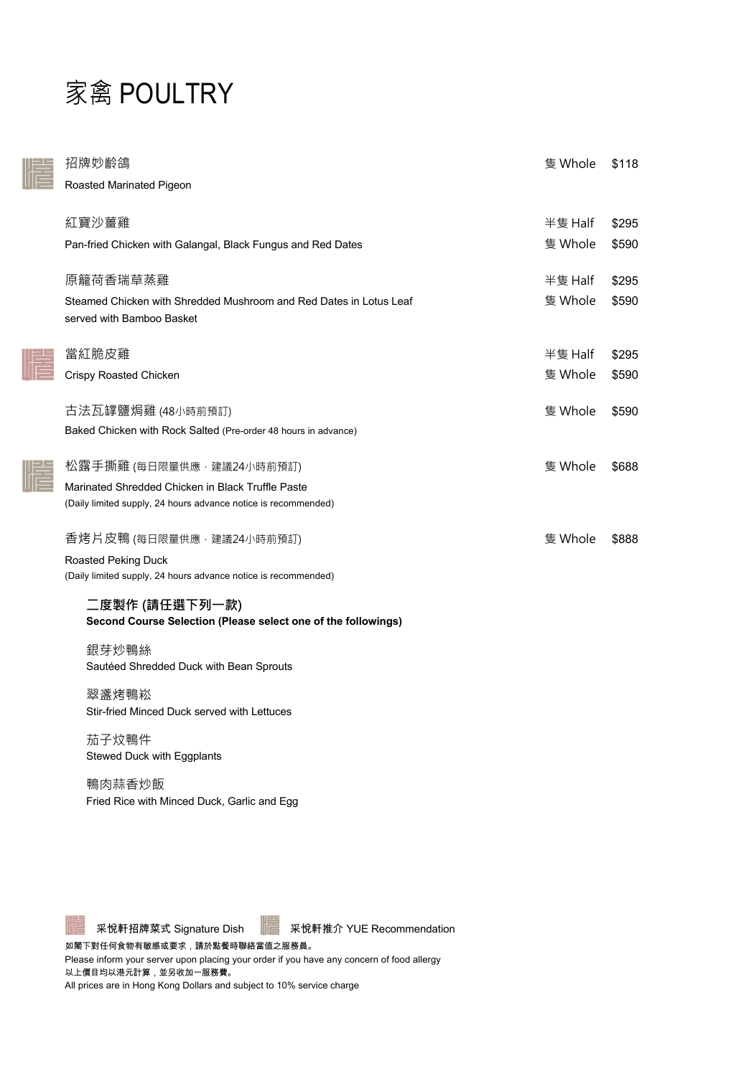#### 家禽 POULTRY

| 招牌妙齡鴿<br>Roasted Marinated Pigeon                                                                                                               | 隻 Whole            | \$118          |
|-------------------------------------------------------------------------------------------------------------------------------------------------|--------------------|----------------|
| 紅寶沙薑雞<br>Pan-fried Chicken with Galangal, Black Fungus and Red Dates                                                                            | 半隻 Half<br>隻 Whole | \$295<br>\$590 |
| 原籠荷香瑞草蒸雞<br>Steamed Chicken with Shredded Mushroom and Red Dates in Lotus Leaf<br>served with Bamboo Basket                                     | 半隻 Half<br>隻 Whole | \$295<br>\$590 |
| 當紅脆皮雞<br><b>Crispy Roasted Chicken</b>                                                                                                          | 半隻 Half<br>隻 Whole | \$295<br>\$590 |
| 古法瓦罉鹽焗雞 (48小時前預訂)<br>Baked Chicken with Rock Salted (Pre-order 48 hours in advance)                                                             | 隻 Whole            | \$590          |
| 松露手撕雞 (每日限量供應,建議24小時前預訂)<br>Marinated Shredded Chicken in Black Truffle Paste<br>(Daily limited supply, 24 hours advance notice is recommended) | 隻 Whole            | \$688          |
| 香烤片皮鴨 (每日限量供應,建議24小時前預訂)<br>Roasted Peking Duck<br>(Daily limited supply, 24 hours advance notice is recommended)                               | 隻 Whole            | \$888          |
| 二度製作 (請任選下列一款)<br>Second Course Selection (Please select one of the followings)                                                                 |                    |                |
| 銀芽炒鴨絲<br>Sautéed Shredded Duck with Bean Sprouts                                                                                                |                    |                |
| 翠盞烤鴨崧<br>Stir-fried Minced Duck served with Lettuces                                                                                            |                    |                |

茄子炆鴨件 Stewed Duck with Eggplants

鴨肉蒜香炒飯 Fried Rice with Minced Duck, Garlic and Egg

采悅軒招牌菜式 Signature Dish For 采悅軒推介 YUE Recommendation

如閣下對任何食物有敏感或要求,請於點餐時聯絡當值之服務員。

Please inform your server upon placing your order if you have any concern of food allergy 以上價目均以港元計算,並另收加一服務費。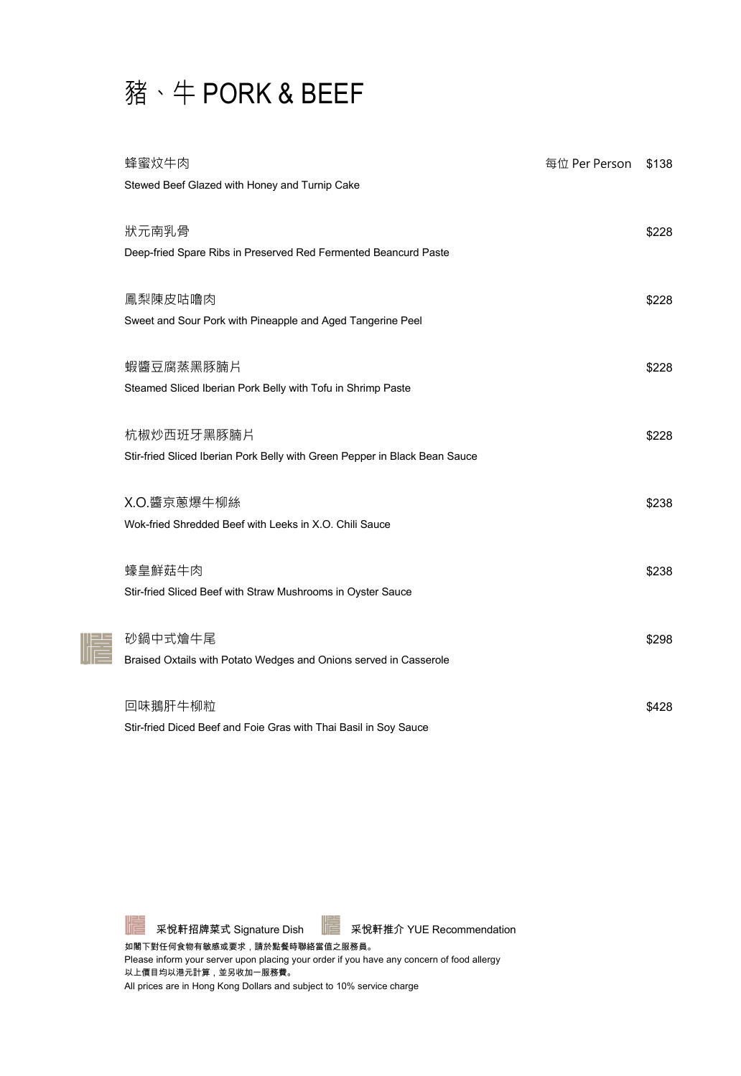### 豬、牛 PORK & BEEF

| 蜂蜜炆牛肉                                                                      | 每位 Per Person | \$138 |
|----------------------------------------------------------------------------|---------------|-------|
| Stewed Beef Glazed with Honey and Turnip Cake                              |               |       |
|                                                                            |               |       |
| 狀元南乳骨                                                                      |               | \$228 |
| Deep-fried Spare Ribs in Preserved Red Fermented Beancurd Paste            |               |       |
|                                                                            |               |       |
| 鳳梨陳皮咕嚕肉                                                                    |               | \$228 |
| Sweet and Sour Pork with Pineapple and Aged Tangerine Peel                 |               |       |
|                                                                            |               |       |
| 蝦醬豆腐蒸黑豚腩片                                                                  |               | \$228 |
| Steamed Sliced Iberian Pork Belly with Tofu in Shrimp Paste                |               |       |
|                                                                            |               |       |
| 杭椒炒西班牙黑豚腩片                                                                 |               | \$228 |
| Stir-fried Sliced Iberian Pork Belly with Green Pepper in Black Bean Sauce |               |       |
|                                                                            |               |       |
| X.O.醬京蔥爆牛柳絲                                                                |               | \$238 |
| Wok-fried Shredded Beef with Leeks in X.O. Chili Sauce                     |               |       |
|                                                                            |               |       |
| 蠔皇鮮菇牛肉                                                                     |               | \$238 |
| Stir-fried Sliced Beef with Straw Mushrooms in Oyster Sauce                |               |       |
|                                                                            |               |       |
| 砂鍋中式燴牛尾                                                                    |               | \$298 |
| Braised Oxtails with Potato Wedges and Onions served in Casserole          |               |       |
|                                                                            |               |       |
| 回味鵝肝牛柳粒                                                                    |               | \$428 |
| Stir-fried Diced Beef and Foie Gras with Thai Basil in Soy Sauce           |               |       |

nes<br>NGC

采悅軒招牌菜式 Signature Dish | 至 采悅軒推介 YUE Recommendation

如閣下對任何食物有敏感或要求,請於點餐時聯絡當值之服務員。

Please inform your server upon placing your order if you have any concern of food allergy 以上價目均以港元計算,並另收加一服務費。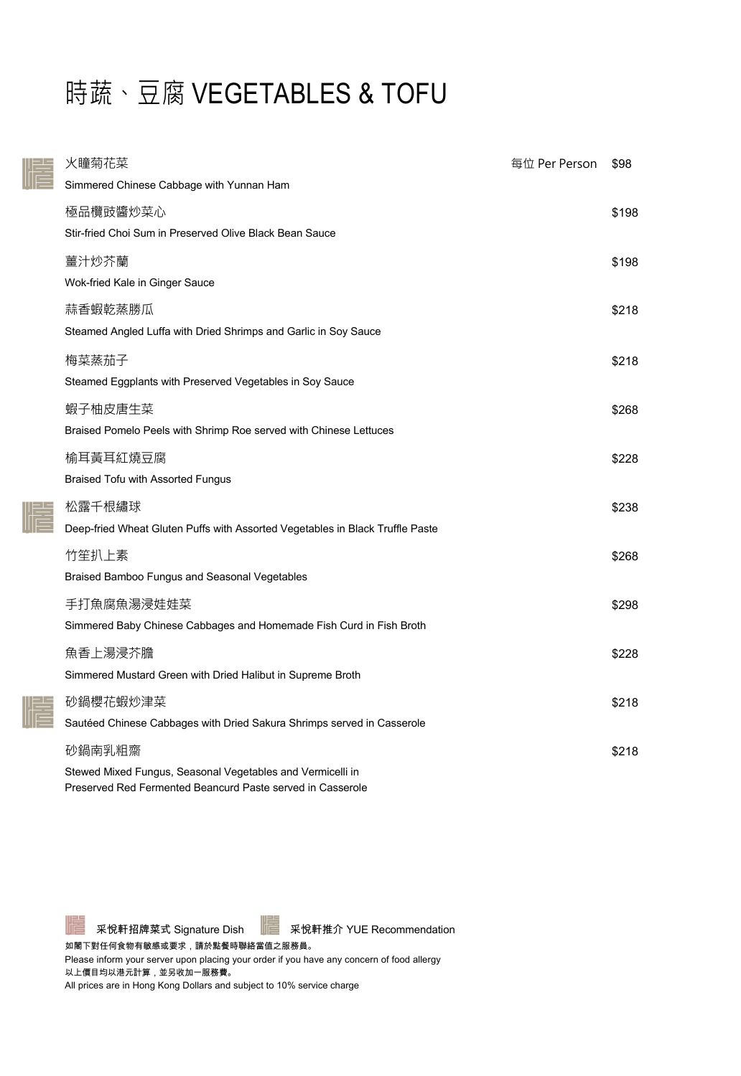# 時蔬、豆腐 VEGETABLES & TOFU

 $\frac{1}{\sqrt{1-\frac{1}{2}}}$ 

NE S

諎

| 火瞳菊花菜                                                                                                                    | 每位 Per Person | \$98  |
|--------------------------------------------------------------------------------------------------------------------------|---------------|-------|
| Simmered Chinese Cabbage with Yunnan Ham                                                                                 |               |       |
| 極品欖豉醬炒菜心                                                                                                                 |               | \$198 |
| Stir-fried Choi Sum in Preserved Olive Black Bean Sauce                                                                  |               |       |
| 薑汁炒芥蘭                                                                                                                    |               | \$198 |
| Wok-fried Kale in Ginger Sauce                                                                                           |               |       |
| 蒜香蝦乾蒸勝瓜                                                                                                                  |               | \$218 |
| Steamed Angled Luffa with Dried Shrimps and Garlic in Soy Sauce                                                          |               |       |
| 梅菜蒸茄子                                                                                                                    |               | \$218 |
| Steamed Eggplants with Preserved Vegetables in Soy Sauce                                                                 |               |       |
| 蝦子柚皮唐生菜                                                                                                                  |               | \$268 |
| Braised Pomelo Peels with Shrimp Roe served with Chinese Lettuces                                                        |               |       |
| 榆耳黃耳紅燒豆腐                                                                                                                 |               | \$228 |
| Braised Tofu with Assorted Fungus                                                                                        |               |       |
| 松露千根繡球                                                                                                                   |               | \$238 |
| Deep-fried Wheat Gluten Puffs with Assorted Vegetables in Black Truffle Paste                                            |               |       |
| 竹笙扒上素                                                                                                                    |               | \$268 |
| Braised Bamboo Fungus and Seasonal Vegetables                                                                            |               |       |
| 手打魚腐魚湯浸娃娃菜                                                                                                               |               | \$298 |
| Simmered Baby Chinese Cabbages and Homemade Fish Curd in Fish Broth                                                      |               |       |
| 魚香上湯浸芥膽                                                                                                                  |               | \$228 |
| Simmered Mustard Green with Dried Halibut in Supreme Broth                                                               |               |       |
| 砂鍋櫻花蝦炒津菜                                                                                                                 |               | \$218 |
| Sautéed Chinese Cabbages with Dried Sakura Shrimps served in Casserole                                                   |               |       |
| 砂鍋南乳粗齋                                                                                                                   |               | \$218 |
| Stewed Mixed Fungus, Seasonal Vegetables and Vermicelli in<br>Preserved Red Fermented Beancurd Paste served in Casserole |               |       |

采悅軒招牌菜式 Signature Dish | 采悅軒推介 YUE Recommendation

如閣下對任何食物有敏感或要求,請於點餐時聯絡當值之服務員。

Please inform your server upon placing your order if you have any concern of food allergy 以上價目均以港元計算,並另收加一服務費。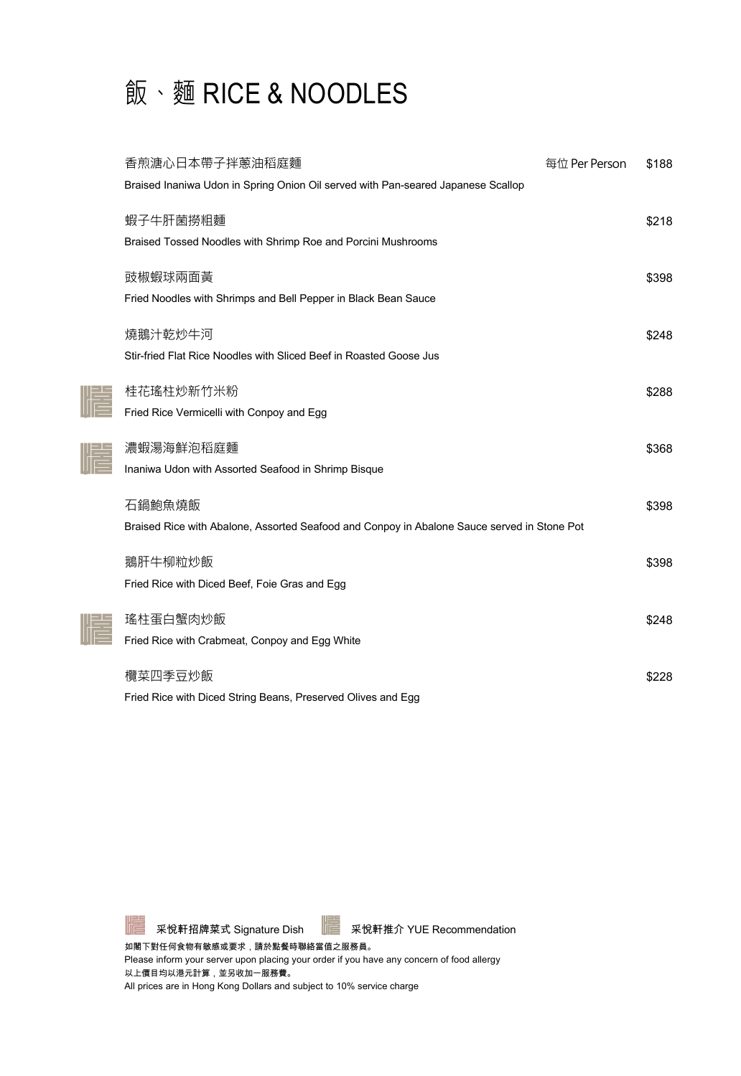

| 香煎溏心日本帶子拌蔥油稻庭麵                                                                              | 每位 Per Person | \$188 |
|---------------------------------------------------------------------------------------------|---------------|-------|
| Braised Inaniwa Udon in Spring Onion Oil served with Pan-seared Japanese Scallop            |               |       |
|                                                                                             |               |       |
| 蝦子牛肝菌撈粗麵                                                                                    |               | \$218 |
| Braised Tossed Noodles with Shrimp Roe and Porcini Mushrooms                                |               |       |
| 豉椒蝦球兩面黃                                                                                     |               | \$398 |
| Fried Noodles with Shrimps and Bell Pepper in Black Bean Sauce                              |               |       |
|                                                                                             |               |       |
| 燒鵝汁乾炒牛河                                                                                     |               | \$248 |
| Stir-fried Flat Rice Noodles with Sliced Beef in Roasted Goose Jus                          |               |       |
| 桂花瑤柱炒新竹米粉                                                                                   |               | \$288 |
| Fried Rice Vermicelli with Conpoy and Egg                                                   |               |       |
|                                                                                             |               |       |
| 濃蝦湯海鮮泡稻庭麵                                                                                   |               | \$368 |
| Inaniwa Udon with Assorted Seafood in Shrimp Bisque                                         |               |       |
|                                                                                             |               |       |
| 石鍋鮑魚燒飯                                                                                      |               | \$398 |
| Braised Rice with Abalone, Assorted Seafood and Conpoy in Abalone Sauce served in Stone Pot |               |       |
| 鵝肝牛柳粒炒飯                                                                                     |               | \$398 |
| Fried Rice with Diced Beef, Foie Gras and Egg                                               |               |       |
|                                                                                             |               |       |
| 瑤柱蛋白蟹肉炒飯                                                                                    |               | \$248 |
| Fried Rice with Crabmeat, Conpoy and Egg White                                              |               |       |
|                                                                                             |               |       |
| 欖菜四季豆炒飯                                                                                     |               | \$228 |
| Fried Rice with Diced String Beans, Preserved Olives and Egg                                |               |       |

NES

niekt<br>Nie

 $\parallel \parallel$ 

采悅軒招牌菜式 Signature Dish | 采悅軒推介 YUE Recommendation

如閣下對任何食物有敏感或要求,請於點餐時聯絡當值之服務員。

Please inform your server upon placing your order if you have any concern of food allergy 以上價目均以港元計算,並另收加一服務費。